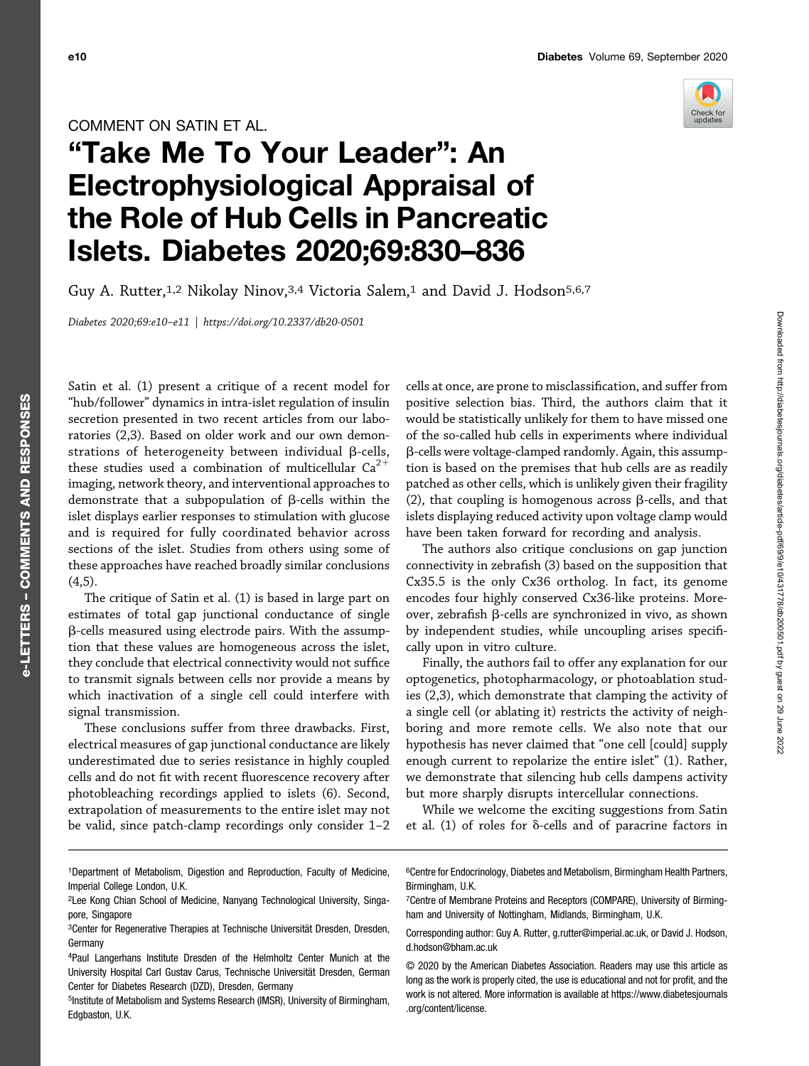## COMMENT ON SATIN ET AL.

## "Take Me To Your Leader": An Electrophysiological Appraisal of the Role of Hub Cells in Pancreatic Islets. Diabetes 2020;69:830–836

Guy A. Rutter,<sup>1,2</sup> Nikolay Ninov,<sup>3,4</sup> Victoria Salem,<sup>1</sup> and David J. Hodson<sup>5,6,7</sup>

Diabetes 2020;69:e10–e11 |<https://doi.org/10.2337/db20-0501>

Satin et al. (1) present a critique of a recent model for "hub/follower" dynamics in intra-islet regulation of insulin secretion presented in two recent articles from our laboratories (2,3). Based on older work and our own demonstrations of heterogeneity between individual  $\beta$ -cells, these studies used a combination of multicellular  $Ca^{2+}$ imaging, network theory, and interventional approaches to demonstrate that a subpopulation of  $\beta$ -cells within the islet displays earlier responses to stimulation with glucose and is required for fully coordinated behavior across sections of the islet. Studies from others using some of these approaches have reached broadly similar conclusions  $(4,5)$ .

The critique of Satin et al. (1) is based in large part on estimates of total gap junctional conductance of single b-cells measured using electrode pairs. With the assumption that these values are homogeneous across the islet, they conclude that electrical connectivity would not suffice to transmit signals between cells nor provide a means by which inactivation of a single cell could interfere with signal transmission.

These conclusions suffer from three drawbacks. First, electrical measures of gap junctional conductance are likely underestimated due to series resistance in highly coupled cells and do not fit with recent fluorescence recovery after photobleaching recordings applied to islets (6). Second, extrapolation of measurements to the entire islet may not be valid, since patch-clamp recordings only consider 1–2

cells at once, are prone to misclassification, and suffer from positive selection bias. Third, the authors claim that it would be statistically unlikely for them to have missed one of the so-called hub cells in experiments where individual b-cells were voltage-clamped randomly. Again, this assumption is based on the premises that hub cells are as readily patched as other cells, which is unlikely given their fragility (2), that coupling is homogenous across  $\beta$ -cells, and that islets displaying reduced activity upon voltage clamp would have been taken forward for recording and analysis.

The authors also critique conclusions on gap junction connectivity in zebrafish (3) based on the supposition that Cx35.5 is the only Cx36 ortholog. In fact, its genome encodes four highly conserved Cx36-like proteins. Moreover, zebrafish  $\beta$ -cells are synchronized in vivo, as shown by independent studies, while uncoupling arises specifically upon in vitro culture.

Finally, the authors fail to offer any explanation for our optogenetics, photopharmacology, or photoablation studies (2,3), which demonstrate that clamping the activity of a single cell (or ablating it) restricts the activity of neighboring and more remote cells. We also note that our hypothesis has never claimed that "one cell [could] supply enough current to repolarize the entire islet" (1). Rather, we demonstrate that silencing hub cells dampens activity but more sharply disrupts intercellular connections.

While we welcome the exciting suggestions from Satin et al. (1) of roles for  $\delta$ -cells and of paracrine factors in

1Department of Metabolism, Digestion and Reproduction, Faculty of Medicine, Imperial College London, U.K.

6Centre for Endocrinology, Diabetes and Metabolism, Birmingham Health Partners, Birmingham, U.K.

e-LETTERS

– COMMENTS AND RESPONSES

**--LETTERS - COMMENTS AND RESPONSES** 

<sup>2</sup>Lee Kong Chian School of Medicine, Nanyang Technological University, Singapore, Singapore

<sup>3</sup>Center for Regenerative Therapies at Technische Universität Dresden, Dresden, Germany

<sup>4</sup>Paul Langerhans Institute Dresden of the Helmholtz Center Munich at the University Hospital Carl Gustav Carus, Technische Universität Dresden, German Center for Diabetes Research (DZD), Dresden, Germany

<sup>5</sup>Institute of Metabolism and Systems Research (IMSR), University of Birmingham, Edgbaston, U.K.

<sup>7</sup>Centre of Membrane Proteins and Receptors (COMPARE), University of Birmingham and University of Nottingham, Midlands, Birmingham, U.K.

Corresponding author: Guy A. Rutter, [g.rutter@imperial.ac.uk](mailto:g.rutter@imperial.ac.uk), or David J. Hodson, [d.hodson@bham.ac.uk](mailto:d.hodson@bham.ac.uk)

<sup>© 2020</sup> by the American Diabetes Association. Readers may use this article as long as the work is properly cited, the use is educational and not for profit, and the work is not altered. More information is available at [https://www.diabetesjournals](https://www.diabetesjournals.org/content/license) [.org/content/license.](https://www.diabetesjournals.org/content/license)